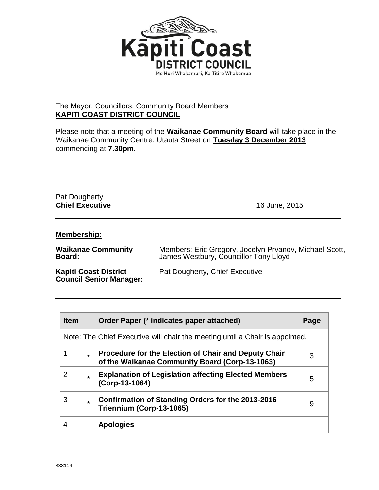

## The Mayor, Councillors, Community Board Members **KAPITI COAST DISTRICT COUNCIL**

Please note that a meeting of the **Waikanae Community Board** will take place in the Waikanae Community Centre, Utauta Street on **Tuesday 3 December 2013** commencing at **7.30pm**.

## Pat Dougherty **Chief Executive** 16 June, 2015

## **Membership:**

| <b>Waikanae Community</b>                                      | Members: Eric Gregory, Jocelyn Prvanov, Michael Scott, |
|----------------------------------------------------------------|--------------------------------------------------------|
| Board:                                                         | James Westbury, Councillor Tony Lloyd                  |
| <b>Kapiti Coast District</b><br><b>Council Senior Manager:</b> | Pat Dougherty, Chief Executive                         |

| <b>Item</b>                                                                  | Order Paper (* indicates paper attached)                                                                            | Page |
|------------------------------------------------------------------------------|---------------------------------------------------------------------------------------------------------------------|------|
| Note: The Chief Executive will chair the meeting until a Chair is appointed. |                                                                                                                     |      |
|                                                                              | <b>Procedure for the Election of Chair and Deputy Chair</b><br>÷.<br>of the Waikanae Community Board (Corp-13-1063) | 3    |
| 2                                                                            | <b>Explanation of Legislation affecting Elected Members</b><br>$\star$<br>(Corp-13-1064)                            | 5    |
| 3                                                                            | Confirmation of Standing Orders for the 2013-2016<br>$\star$<br>Triennium (Corp-13-1065)                            | 9    |
| 4                                                                            | <b>Apologies</b>                                                                                                    |      |